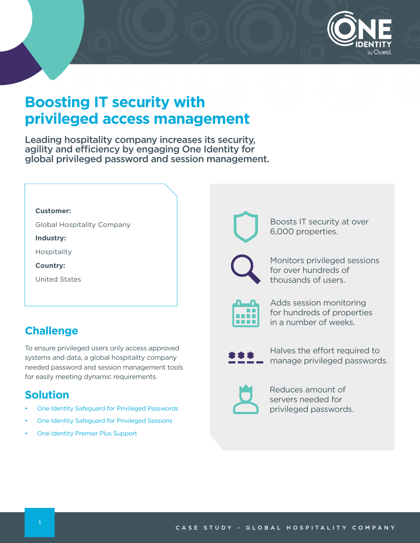

# **Boosting IT security with privileged access management**

Leading hospitality company increases its security, agility and efficiency by engaging One Identity for global privileged password and session management.

|  |  |  | <b>Customer:</b> |
|--|--|--|------------------|
|--|--|--|------------------|

Global Hospitality Company

**Industry:**

Hospitality

**Country:**

United States

# **Challenge**

To ensure privileged users only access approved systems and data, a global hospitality company needed password and session management tools for easily meeting dynamic requirements.

# **Solution**

- [One Identity Safeguard for Privileged Passwords](https://www.oneidentity.com/products/one-identity-safeguard-for-privileged-passwords/)
- [One Identity Safeguard for Privileged Sessions](https://www.oneidentity.com/products/one-identity-safeguard-for-privileged-sessions/)
- [One Identity Premier Plus Support](https://support.oneidentity.com/essentials/support-offerings)



Boosts IT security at over 6,000 properties.

Monitors privileged sessions for over hundreds of thousands of users.



Adds session monitoring for hundreds of properties in a number of weeks.



Halves the effort required to manage privileged passwords.



Reduces amount of servers needed for privileged passwords.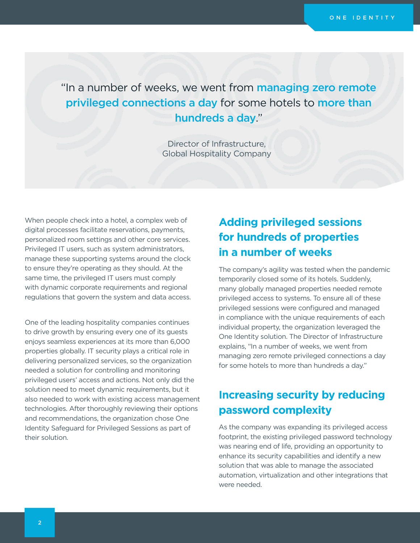"In a number of weeks, we went from managing zero remote privileged connections a day for some hotels to more than hundreds a day."

> Director of Infrastructure, Global Hospitality Company

When people check into a hotel, a complex web of digital processes facilitate reservations, payments, personalized room settings and other core services. Privileged IT users, such as system administrators, manage these supporting systems around the clock to ensure they're operating as they should. At the same time, the privileged IT users must comply with dynamic corporate requirements and regional regulations that govern the system and data access.

One of the leading hospitality companies continues to drive growth by ensuring every one of its guests enjoys seamless experiences at its more than 6,000 properties globally. IT security plays a critical role in delivering personalized services, so the organization needed a solution for controlling and monitoring privileged users' access and actions. Not only did the solution need to meet dynamic requirements, but it also needed to work with existing access management technologies. After thoroughly reviewing their options and recommendations, the organization chose One Identity Safeguard for Privileged Sessions as part of their solution.

# **Adding privileged sessions for hundreds of properties in a number of weeks**

The company's agility was tested when the pandemic temporarily closed some of its hotels. Suddenly, many globally managed properties needed remote privileged access to systems. To ensure all of these privileged sessions were configured and managed in compliance with the unique requirements of each individual property, the organization leveraged the One Identity solution. The Director of Infrastructure explains, "In a number of weeks, we went from managing zero remote privileged connections a day for some hotels to more than hundreds a day."

# **Increasing security by reducing password complexity**

As the company was expanding its privileged access footprint, the existing privileged password technology was nearing end of life, providing an opportunity to enhance its security capabilities and identify a new solution that was able to manage the associated automation, virtualization and other integrations that were needed.